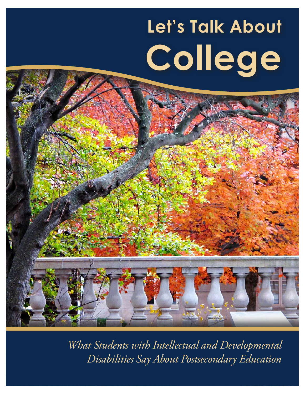# **Let's Talk About College**

*What Students with Intellectual and Developmental Disabilities Say About Postsecondary Education*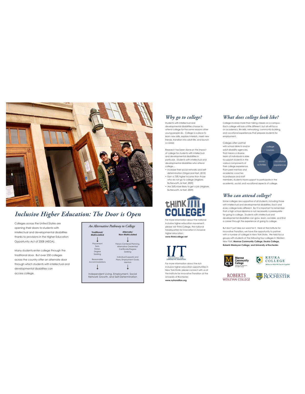

# *Inclusive Higher Education: The Door is Open*

Colleges across the United States are opening their doors to students with intellectual and developmental disabilities thanks to provisions in the Higher Education Opportunity Act of 2008 (HEOA).

Many students enter college through the traditional door. But over 250 colleges across the country offer an alternate door through which students with intellectual and developmental disabilities can access college.

| Traditional/<br>Matriculated | Alternate/<br>Non-Matriculated |
|------------------------------|--------------------------------|
|                              |                                |
| Placement                    | Person-Centered Plannina.      |
| Tests.                       | Alternative Credential/        |
| Essays.                      | Certificate/Degree             |
| Degree                       | Seeking                        |
| Seeking                      |                                |
|                              | Individual Supports and        |
| Reasonable                   | Plans, Employment Goals,       |
| Accommodations               | Mentors                        |
|                              |                                |

# *Why go to college?*

Students with intellectual and developmental disabilities choose to attend college for the same reasons other young people do. College is a place to learn new skills, explore interests, meet new friends, transition into adult life, and launch a career.

Research has been done on the impact of college for students with intellectual and developmental disabilities in particular. Students with intellectual and developmental disabilities who attend college…

- Increase their social networks and selfdetermination (Grigal and Hart, 2010) • Earn a 73% higher income than those
- who do not go to college (Migliore, Butterworth, & Hart, 2009)
- Are 26% more likely to get a job (Migliore, Butterworth, & Hart, 2009)



For more information about the national inclusive higher education movement please visit Think College, the national headquarters for innovation in inclusive higher education: **www.thinkcollege.net**



For more information about the rich inclusive higher education opportunities in New York State, please connect with us at the Institute for Innovative Transition at the University of Rochester: **www.nytransition.org**



College involves more than taking classes on a campus. Each college will look a little different, but all will focus on academics, life skills, networking, community building, and vocational experiences that prepare students for employment.

Colleges often partner with school districts and/or adult disability agencies. That means a diverse team of individuals is able to support students in the various components of their college experience. From peer mentors and academic coaches to professors and staff



members, students have support to participate in the academic, social, and vocational aspects of college.

## *Who can attend college?*

Some colleges are supportive of all students, including those with intellectual and developmental disabilities. Each and every college looks different. But it is important to remember that a high school diploma is not necessarily a prerequisite for going to college. Students with intellectual and<br>developmental disabilities can grow, learn, socialize, and find a career through the experience of going to college.

But don't just take our word for it. Here at the Institute for Innovative Transition, we have the opportunity to partner with a number of colleges in New York State. We held focus groups with students at the following four colleges in Western New York: **Monroe Community College, Keuka College, Roberts Wesleyan College, and University of Rochester.**











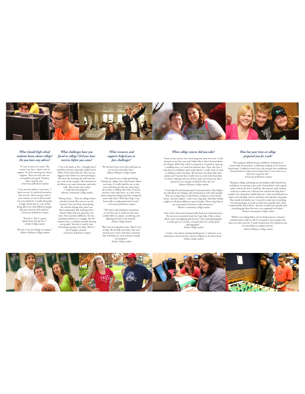

#### *What should high school students know about college? Do you have any advice?*

"It's not as scary as it seems. Te reason I say that—there's a lot of support. If you're stressing out, there's support. Tere are ways you can accomplish your goals. Teachers take it step by step." *–University of Rochester student*

"I was nervous before I came here. I knew no one. It's perfectly normal to feel nervous. Once you get used to your routine, it's not as bad as what you were afraid of. I would tell people in high school that it's a lot of fun being able to be with diferent people, like peer mentors and students." *–University of Rochester student*

> "Just do it. Tis is a great opportunity. Just go for it." *–Keuka College student*

"Be sure to try new things on campus." *–Roberts Wesleyan College student*

#### *What challenges have you faced at college? Did you have worries before you came?*

 "I was a bit shaky at frst. I thought that I would be with lots of people I didn't know. What if they don't like me? Tat was my biggest worry before my interview began.<br>But after the meeting, the staff took me<br>on a tour of the campus. They showed me<br>the library, my main classroom, and other<br>stuff. My worries went away! I really like this program." *–Monroe Community College student*

"Taking classes... They are college classes and they're hard. But you can use the mentors. You can't keep interrupting the teachers during class when you don't understand. But working with a mentor helps with any questions you have. Every person is diferent. For me, anything academic is a struggle. But for someone else, it could be stressful meeting<br>
new people. You take it step by step.<br>
Everything is going to be okay. There's a<br> *Lot of support around."*<br> *–University of Rochester student* 

#### *What resources and supports helped you to face challenges?*

"We all learn from each other and keep an eye out for each other here." *–Roberts Wesleyan College student*

"The mentors are a really good thing. During my college class, they break it down<br>into steps. It's really hard for me to take<br>notes and keep up with my notes when<br>the teacher is talking. But when I had my<br>mentors, they took notes, so I only wrote<br>down importan better able to understand and succeed." *–University of Rochester student*

"We had to take freshman orientation in our frst year. It made me feel more comfortable on campus, socializing, and fguring out how to get around." *–Keuka College student*

"We're just one big giant team. Tere's a lot of help. We all help each other. You turn around every corner and there's someone who will help you, even if they're outside our program." *–Keuka College student*

#### *What college courses did you take?*

"Some of my courses were interesting and some were not. I took<br>business in my first year and I didn't like it. But I learned about<br>the things I didn't like, which is important. I wanted to open up<br>a wedding store, so I too took Intro to Childcare and I really liked it. I really want to work in childcare when I'm done. We learned a lot bout kids with a<br>string and I learned that I really want to work with those kids. I've been working with my

"I took Speech and Interpersonal Communication. Tat helped me talk about my feelings, and communicate with other people. Tat was a huge help. I took History of Sports in the United States—my best subject—and it was a big help. And Mass Media taught me all about diferent types of media. Tat's a big help in my career goal to become a radio announcer." *–Monroe Community College student*

"One of my classes that I found really hard was Criminal Justice. The tests were extremely hard, but I got help. I like to learn about crime and fighting and the law. I also took photography.<br>
I totally got an A in that. I learned that I'm a really good<br>
photographer."<br> *–Keuka College student* 

"I took a class about teaching kindergarten. I volunteer at an elementary school and that class has helped me do better there." *–Keuka College student*

#### *How has your time at college prepared you for a job?*

"Tis program helped me get confdence working in an actual work environment. I ended up working at the Veterans Association. I walked to work every day and got that confdence. I learned what to expect out of supervisors. I even went to an interview to get the job." *–University of Rochester student*

"Being in college and doing my internships really boosted my confdence in wanting to get a job. I learned how to be a good cashier and do the best I could do. My mentors really worked with me to make sure I did my best and had the help that I<br>needed. One thing that would make me a little overwhelmed was<br>hen a lot of people came in and there were big lines of people.<br>That would overwhelm me. I wanted to was moving along, so I had to work more quickly than I had worked before. But I did it—the lines would move quickly and everything got done the way it was supposed to be done."<br>*–Monroe Community College student* 

"While I was taking Ethics of Law Enforcement, I joined a criminal justice club as well. It was good to meet people who share my same interests. I made connections that helped me get my internship in campus security." *–Roberts Wesleyan College student*

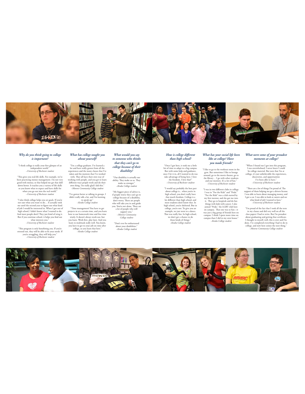

#### *Why do you think going to college is important?*

"I think college is really your frst glimpse of an independent world." *–University of Rochester student*

"Tis gives you real-life skills. For example, we've been practicing money management. I'm not very good with money, so that helped me get that skill down better. It teaches you a variety of life skills so you know what to expect and have skills for when you go out into the real world." *–University of Rochester student*

"I also think college helps you set goals. If you're not sure what you want to do… It actually took me until the second year to fgure out what kind of job I would be interested in. When I got out of<br>high school, I didn't know what I wanted to do.<br>And most people don't! They just kind of wing it.<br>But if you continue school, it helps you find out what interests you." *–University of Rochester student*

"Tis program is only beneftting you. If you're stressed out, they will be able to ft your needs. If you're struggling, they will help you."  *–University of Rochester student*

#### *What has college taught you about yourself?*

"I'm a college graduate. I've learned a lot and have really grown from all the experiences and the many classes that I've taken and the mentors that I've worked<br>working with people, and you get to learn<br>different ways people work and do their<br>different ways people work and do their<br>own thing. I'm really glad I did this." *–Monroe Community College student*

"I've gotten better at talking in groups. I didn't really talk a lot, and I'm learning to speak up." *–Keuka College student*

"Time management! You have to get projects in at a certain time, and you learn how to use homework time and free time wisely. It doesn't always work out, but you learn. Work frst, play later. And you learn to multitask really well. You know, you have to get to your job on time after college, so you learn that here." *–Keuka College student*

#### *What would you say to someone who thinks that they can't go to college because of their disability?*

"Our disability is actually our ability. Tey make us us. Tey make us stronger." *–Keuka College student*

"My biggest piece of advice is, if people worry they can't go to college because of a disability, don't worry. Tere are people who will take you in and guide you. You're not alone. Tere are a lot of people who will

support you." *–Monroe Community College student*

"Don't ever be embarrassed about your disabilities." *–Keuka College student*

### *How is college different than high school?*

"Once I got here, it took me a little bit of time to adapt to a big campus. But with some help and guidance, once I let it in, all I wanted to do was take advantage of being here. I love the freedom. I love that!" *–University of Rochester student* 

"I would say probably the best part about college is... when you're in high school, you don't really have that much freedom. College is a lot diferent than high school, and most students don't know that. In<br>
high school, you're not. To give you an<br>
college, you're not. To give you an<br>
cxample, we just went to a dance.<br>
That was really fun. In high school, we don't get a chance to do those kinds of things." *–Keuka College student*

#### *What has your social life been like at college? Have you made friends?*

"I like to go to the workout room in the<br>gym. But sometimes I like to lounge<br>around, go to the movie theater, go to<br>linking library... I go with other students<br>and our mentors. It's a lot of fun."<br> $-$ *University of Roches* 

"I was in two diferent clubs in college. I was in "For the Kids" and "Pride." "For the Kids" was a club started by my frst mentor, and she got me into it. Tey go to hospitals and do fun things with kids with cancer. I also joined "Pride," the LGBT club here on campus. Tat one was so fun—it was just a big group of friends here on campus. I think I spent more time on campus than I did in my own house." *–Keuka College student* 

#### *What were some of your proudest moments at college?*

"When I found out I got into this program, I was overwhelmed. I never knew I could be college material. But now that I'm at college, it's just unbelievable the experiences, discoveries, and opportunities I've been able to have." *–University of Rochester student*

"There are a lot of things I'm proud of. The support of them helping me get a drivers license. I was able to learn about managing money, and I got a car. I was able to look at careers and see what kind of job I wanted to have." *–University of Rochester student*

"I'm proud of the fact that I took all the tests in my classes and did very well on all the class papers I had to write. But I'm proudest about graduating and getting that certifcate. I thought to myself, well, this is over and I'm done. I've completed everything I had to do in college, and now here comes the next thing." *–Monroe Community College student*